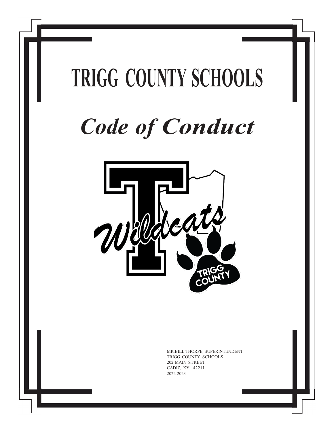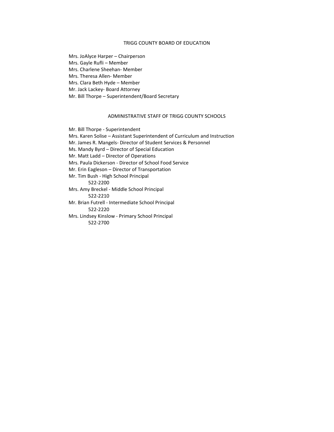#### TRIGG COUNTY BOARD OF EDUCATION

Mrs. JoAlyce Harper – Chairperson

Mrs. Gayle Rufli – Member

Mrs. Charlene Sheehan- Member

Mrs. Theresa Allen- Member

Mrs. Clara Beth Hyde – Member

Mr. Jack Lackey- Board Attorney

Mr. Bill Thorpe – Superintendent/Board Secretary

#### ADMINISTRATIVE STAFF OF TRIGG COUNTY SCHOOLS

Mr. Bill Thorpe - Superintendent

Mrs. Karen Solise – Assistant Superintendent of Curriculum and Instruction

Mr. James R. Mangels- Director of Student Services & Personnel

Ms. Mandy Byrd – Director of Special Education

Mr. Matt Ladd – Director of Operations

Mrs. Paula Dickerson - Director of School Food Service

Mr. Erin Eagleson – Director of Transportation

Mr. Tim Bush - High School Principal

522-2200

Mrs. Amy Breckel - Middle School Principal 522-2210

Mr. Brian Futrell - Intermediate School Principal 522-2220

Mrs. Lindsey Kinslow - Primary School Principal 522-2700